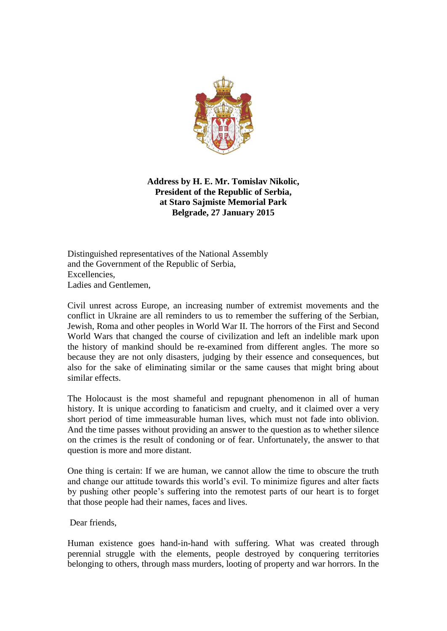

**Address by H. E. Mr. Tomislav Nikolic, President of the Republic of Serbia, at Staro Sajmiste Memorial Park Belgrade, 27 January 2015**

Distinguished representatives of the National Assembly and the Government of the Republic of Serbia, Excellencies, Ladies and Gentlemen,

Civil unrest across Europe, an increasing number of extremist movements and the conflict in Ukraine are all reminders to us to remember the suffering of the Serbian, Jewish, Roma and other peoples in World War II. The horrors of the First and Second World Wars that changed the course of civilization and left an indelible mark upon the history of mankind should be re-examined from different angles. The more so because they are not only disasters, judging by their essence and consequences, but also for the sake of eliminating similar or the same causes that might bring about similar effects.

The Holocaust is the most shameful and repugnant phenomenon in all of human history. It is unique according to fanaticism and cruelty, and it claimed over a very short period of time immeasurable human lives, which must not fade into oblivion. And the time passes without providing an answer to the question as to whether silence on the crimes is the result of condoning or of fear. Unfortunately, the answer to that question is more and more distant.

One thing is certain: If we are human, we cannot allow the time to obscure the truth and change our attitude towards this world's evil. To minimize figures and alter facts by pushing other people's suffering into the remotest parts of our heart is to forget that those people had their names, faces and lives.

Dear friends,

Human existence goes hand-in-hand with suffering. What was created through perennial struggle with the elements, people destroyed by conquering territories belonging to others, through mass murders, looting of property and war horrors. In the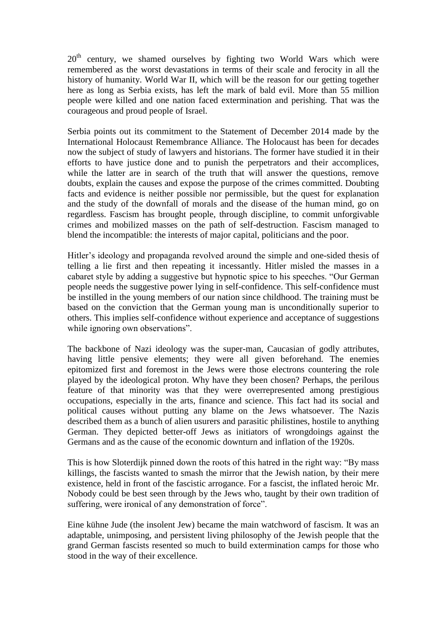$20<sup>th</sup>$  century, we shamed ourselves by fighting two World Wars which were remembered as the worst devastations in terms of their scale and ferocity in all the history of humanity. World War II, which will be the reason for our getting together here as long as Serbia exists, has left the mark of bald evil. More than 55 million people were killed and one nation faced extermination and perishing. That was the courageous and proud people of Israel.

Serbia points out its commitment to the Statement of December 2014 made by the International Holocaust Remembrance Alliance. The Holocaust has been for decades now the subject of study of lawyers and historians. The former have studied it in their efforts to have justice done and to punish the perpetrators and their accomplices, while the latter are in search of the truth that will answer the questions, remove doubts, explain the causes and expose the purpose of the crimes committed. Doubting facts and evidence is neither possible nor permissible, but the quest for explanation and the study of the downfall of morals and the disease of the human mind, go on regardless. Fascism has brought people, through discipline, to commit unforgivable crimes and mobilized masses on the path of self-destruction. Fascism managed to blend the incompatible: the interests of major capital, politicians and the poor.

Hitler's ideology and propaganda revolved around the simple and one-sided thesis of telling a lie first and then repeating it incessantly. Hitler misled the masses in a cabaret style by adding a suggestive but hypnotic spice to his speeches. "Our German people needs the suggestive power lying in self-confidence. This self-confidence must be instilled in the young members of our nation since childhood. The training must be based on the conviction that the German young man is unconditionally superior to others. This implies self-confidence without experience and acceptance of suggestions while ignoring own observations".

The backbone of Nazi ideology was the super-man, Caucasian of godly attributes, having little pensive elements; they were all given beforehand. The enemies epitomized first and foremost in the Jews were those electrons countering the role played by the ideological proton. Why have they been chosen? Perhaps, the perilous feature of that minority was that they were overrepresented among prestigious occupations, especially in the arts, finance and science. This fact had its social and political causes without putting any blame on the Jews whatsoever. The Nazis described them as a bunch of alien usurers and parasitic philistines, hostile to anything German. They depicted better-off Jews as initiators of wrongdoings against the Germans and as the cause of the economic downturn and inflation of the 1920s.

This is how Sloterdijk pinned down the roots of this hatred in the right way: "By mass killings, the fascists wanted to smash the mirror that the Jewish nation, by their mere existence, held in front of the fascistic arrogance. For a fascist, the inflated heroic Mr. Nobody could be best seen through by the Jews who, taught by their own tradition of suffering, were ironical of any demonstration of force".

Eine kühne Jude (the insolent Jew) became the main watchword of fascism. It was an adaptable, unimposing, and persistent living philosophy of the Jewish people that the grand German fascists resented so much to build extermination camps for those who stood in the way of their excellence.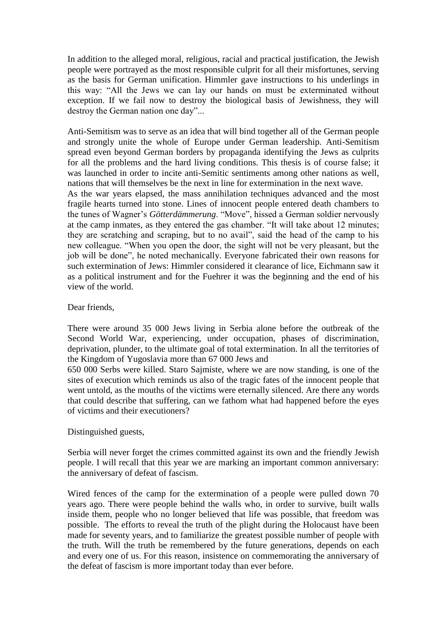In addition to the alleged moral, religious, racial and practical justification, the Jewish people were portrayed as the most responsible culprit for all their misfortunes, serving as the basis for German unification. Himmler gave instructions to his underlings in this way: "All the Jews we can lay our hands on must be exterminated without exception. If we fail now to destroy the biological basis of Jewishness, they will destroy the German nation one day"...

Anti-Semitism was to serve as an idea that will bind together all of the German people and strongly unite the whole of Europe under German leadership. Anti-Semitism spread even beyond German borders by propaganda identifying the Jews as culprits for all the problems and the hard living conditions. This thesis is of course false; it was launched in order to incite anti-Semitic sentiments among other nations as well, nations that will themselves be the next in line for extermination in the next wave.

As the war years elapsed, the mass annihilation techniques advanced and the most fragile hearts turned into stone. Lines of innocent people entered death chambers to the tunes of Wagner's *Götterdämmerung*. "Move", hissed a German soldier nervously at the camp inmates, as they entered the gas chamber. "It will take about 12 minutes; they are scratching and scraping, but to no avail", said the head of the camp to his new colleague. "When you open the door, the sight will not be very pleasant, but the job will be done", he noted mechanically. Everyone fabricated their own reasons for such extermination of Jews: Himmler considered it clearance of lice, Eichmann saw it as a political instrument and for the Fuehrer it was the beginning and the end of his view of the world.

Dear friends,

There were around 35 000 Jews living in Serbia alone before the outbreak of the Second World War, experiencing, under occupation, phases of discrimination, deprivation, plunder, to the ultimate goal of total extermination. In all the territories of the Kingdom of Yugoslavia more than 67 000 Jews and

650 000 Serbs were killed. Staro Sajmiste, where we are now standing, is one of the sites of execution which reminds us also of the tragic fates of the innocent people that went untold, as the mouths of the victims were eternally silenced. Are there any words that could describe that suffering, can we fathom what had happened before the eyes of victims and their executioners?

Distinguished guests,

Serbia will never forget the crimes committed against its own and the friendly Jewish people. I will recall that this year we are marking an important common anniversary: the anniversary of defeat of fascism.

Wired fences of the camp for the extermination of a people were pulled down 70 years ago. There were people behind the walls who, in order to survive, built walls inside them, people who no longer believed that life was possible, that freedom was possible. The efforts to reveal the truth of the plight during the Holocaust have been made for seventy years, and to familiarize the greatest possible number of people with the truth. Will the truth be remembered by the future generations, depends on each and every one of us. For this reason, insistence on commemorating the anniversary of the defeat of fascism is more important today than ever before.